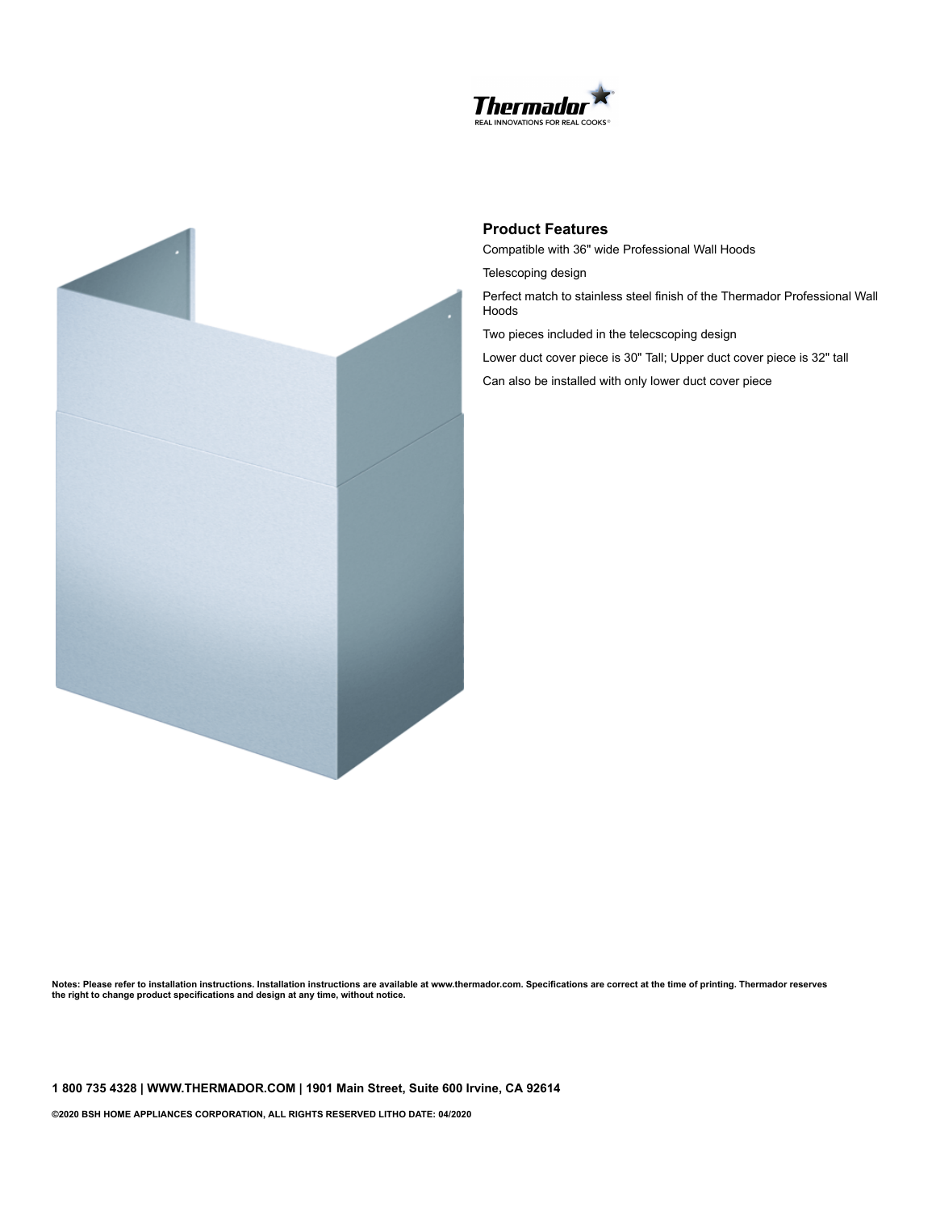



## **Product Features**

Compatible with 36" wide Professional Wall Hoods

Telescoping design

Perfect match to stainless steel finish of the Thermador Professional Wall Hoods

Two pieces included in the telecscoping design

Lower duct cover piece is 30" Tall; Upper duct cover piece is 32" tall

Can also be installed with only lower duct cover piece

Notes: Please refer to installation instructions. Installation instructions are available at www.thermador.com. Specifications are correct at the time of printing. Thermador reserves **the right to change product specifications and design at any time, without notice.**

**1 800 735 4328 | WWW.THERMADOR.COM | 1901 Main Street, Suite 600 Irvine, CA 92614**

**©2020 BSH HOME APPLIANCES CORPORATION, ALL RIGHTS RESERVED LITHO DATE: 04/2020**